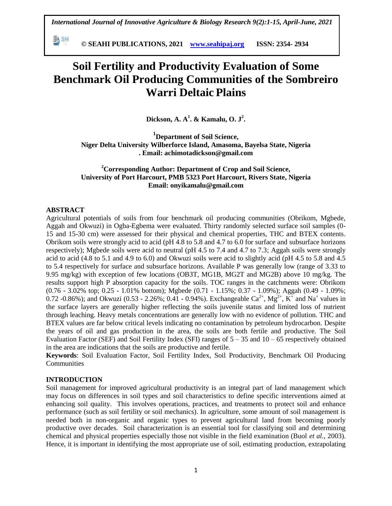**© SEAHI PUBLICATIONS, 2021 [www.seahipaj.org](http://www.seahipaj.org/) ISSN: 2354- 2934**

# **Soil Fertility and Productivity Evaluation of Some Benchmark Oil Producing Communities of the Sombreiro Warri Deltaic Plains**

**Dickson, A. A<sup>1</sup> . & Kamalu, O. J<sup>2</sup> .**

**<sup>1</sup>Department of Soil Science, Niger Delta University Wilberforce Island, Amasoma, Bayelsa State, Nigeria . Email: achimotadickson@gmail.com**

### **<sup>2</sup>Corresponding Author: Department of Crop and Soil Science, University of Port Harcourt, PMB 5323 Port Harcourt, Rivers State, Nigeria Email: onyikamalu@gmail.com**

#### **ABSTRACT**

瓢洲

Agricultural potentials of soils from four benchmark oil producing communities (Obrikom, Mgbede, Aggah and Okwuzi) in Ogba-Egbema were evaluated. Thirty randomly selected surface soil samples (0- 15 and 15-30 cm) were assessed for their physical and chemical properties, THC and BTEX contents. Obrikom soils were strongly acid to acid (pH 4.8 to 5.8 and 4.7 to 6.0 for surface and subsurface horizons respectively); Mgbede soils were acid to neutral (pH 4.5 to 7.4 and 4.7 to 7.3; Aggah soils were strongly acid to acid (4.8 to 5.1 and 4.9 to 6.0) and Okwuzi soils were acid to slightly acid (pH 4.5 to 5.8 and 4.5 to 5.4 respectively for surface and subsurface horizons. Available P was generally low (range of 3.33 to 9.95 mg/kg) with exception of few locations (OB3T, MG1B, MG2T and MG2B) above 10 mg/kg. The results support high P absorption capacity for the soils. TOC ranges in the catchments were: Obrikom (0.76 - 3.02% top; 0.25 - 1.01% bottom); Mgbede (0.71 - 1.15%; 0.37 - 1.09%); Aggah (0.49 - 1.09%; 0.72 -0.86%); and Okwuzi (0.53 - 2.26%; 0.41 - 0.94%). Exchangeable  $Ca^{2+}$ ,  $Mg^{2+}$ ,  $K^{\dagger}$  and Na<sup>+</sup> values in the surface layers are generally higher reflecting the soils juvenile status and limited loss of nutrient through leaching. Heavy metals concentrations are generally low with no evidence of pollution. THC and BTEX values are far below critical levels indicating no contamination by petroleum hydrocarbon. Despite the years of oil and gas production in the area, the soils are both fertile and productive. The Soil Evaluation Factor (SEF) and Soil Fertility Index (SFI) ranges of  $5 - 35$  and  $10 - 65$  respectively obtained in the area are indications that the soils are productive and fertile.

**Keywords**: Soil Evaluation Factor, Soil Fertility Index, Soil Productivity, Benchmark Oil Producing **Communities** 

#### **INTRODUCTION**

Soil management for improved agricultural productivity is an integral part of land management which may focus on differences in soil types and soil characteristics to define specific interventions aimed at enhancing soil quality. This involves operations, practices, and treatments to protect soil and enhance performance (such as soil fertility or soil mechanics). In agriculture, some amount of soil management is needed both in non-organic and organic types to prevent agricultural land from becoming poorly productive over decades. Soil characterization is an essential tool for classifying soil and determining chemical and physical properties especially those not visible in the field examination (Buol *et al.*, 2003). Hence, it is important in identifying the most appropriate use of soil, estimating production, extrapolating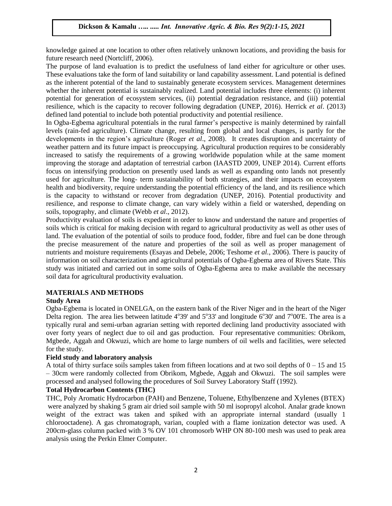knowledge gained at one location to other often relatively unknown locations, and providing the basis for future research need (Nortcliff, 2006).

The purpose of land evaluation is to predict the usefulness of land either for agriculture or other uses. These evaluations take the form of land suitability or land capability assessment. Land potential is defined as the inherent potential of the land to sustainably generate ecosystem services. Management determines whether the inherent potential is sustainably realized. Land potential includes three elements: (i) inherent potential for generation of ecosystem services, (ii) potential degradation resistance, and (iii) potential resilience, which is the capacity to recover following degradation (UNEP, 2016). Herrick *et al*. (2013) defined land potential to include both potential productivity and potential resilience.

In Ogba-Egbema agricultural potentials in the rural farmer's perspective is mainly determined by rainfall levels (rain-fed agriculture). Climate change, resulting from global and local changes, is partly for the developments in the region's agriculture (Roger *et al*., 2008). It creates disruption and uncertainty of weather pattern and its future impact is preoccupying. Agricultural production requires to be considerably increased to satisfy the requirements of a growing worldwide population while at the same moment improving the storage and adaptation of terrestrial carbon (IAASTD 2009, UNEP 2014). Current efforts focus on intensifying production on presently used lands as well as expanding onto lands not presently used for agriculture. The long- term sustainability of both strategies, and their impacts on ecosystem health and biodiversity, require understanding the potential efficiency of the land, and its resilience which is the capacity to withstand or recover from degradation (UNEP, 2016). Potential productivity and resilience, and response to climate change, can vary widely within a field or watershed, depending on soils, topography, and climate (Webb *et al*., 2012).

Productivity evaluation of soils is expedient in order to know and understand the nature and properties of soils which is critical for making decision with regard to agricultural productivity as well as other uses of land. The evaluation of the potential of soils to produce food, fodder, fibre and fuel can be done through the precise measurement of the nature and properties of the soil as well as proper management of nutrients and moisture requirements (Esayas and Debele, 2006; Teshome *et al.*, 2006). There is paucity of information on soil characterization and agricultural potentials of Ogba-Egbema area of Rivers State. This study was initiated and carried out in some soils of Ogba-Egbema area to make available the necessary soil data for agricultural productivity evaluation.

## **MATERIALS AND METHODS**

#### **Study Area**

Ogba-Egbema is located in ONELGA, on the eastern bank of the River Niger and in the heart of the Niger Delta region. The area lies between latitude  $4^{\circ}39'$  and  $5^{\circ}33'$  and longitude  $6^{\circ}30'$  and  $7^{\circ}00'E$ . The area is a typically rural and semi-urban agrarian setting with reported declining land productivity associated with over forty years of neglect due to oil and gas production. Four representative communities: Obrikom, Mgbede, Aggah and Okwuzi, which are home to large numbers of oil wells and facilities, were selected for the study.

#### **Field study and laboratory analysis**

A total of thirty surface soils samples taken from fifteen locations and at two soil depths of  $0 - 15$  and 15 – 30cm were randomly collected from Obrikom, Mgbede, Aggah and Okwuzi. The soil samples were processed and analysed following the procedures of Soil Survey Laboratory Staff (1992).

## **Total Hydrocarbon Contents (THC)**

THC, Poly Aromatic Hydrocarbon (PAH) and Benzene, Toluene, Ethylbenzene and Xylenes (BTEX) were analyzed by shaking 5 gram air dried soil sample with 50 ml isopropyl alcohol. Analar grade known weight of the extract was taken and spiked with an appropriate internal standard (usually 1 chlorooctadene). A gas chromatograph, varian, coupled with a flame ionization detector was used. A 200cm-glass column packed with 3 % OV 101 chromosorb WHP ON 80-100 mesh was used to peak area analysis using the Perkin Elmer Computer.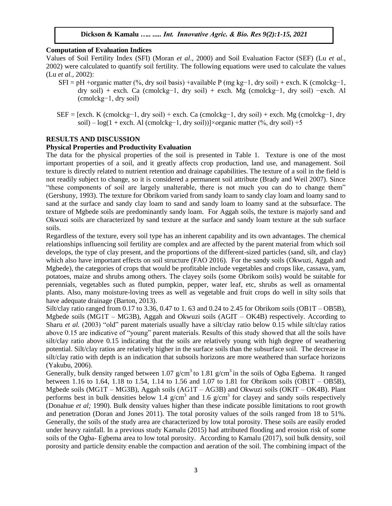#### **Computation of Evaluation Indices**

Values of Soil Fertility Index (SFI) (Moran *et al*., 2000) and Soil Evaluation Factor (SEF) (Lu *et al.,* 2002) were calculated to quantify soil fertility. The following equations were used to calculate the values (Lu *et al.,* 2002):

- SFI = pH +organic matter (%, dry soil basis) +available P (mg kg−1, dry soil) + exch. K (cmolckg−1, dry soil) + exch. Ca (cmolckg−1, dry soil) + exch. Mg (cmolckg−1, dry soil) −exch. Al (cmolckg−1, dry soil)
- $SEF = [exch, K (cmolckg-1, dry soil) + exch, Ca (cmolckg-1, dry soil) + exch. Mg (cmolckg-1, dry$ soil) – log(1 + exch. Al (cmolckg–1, dry soil))]×organic matter (%, dry soil) +5

#### **RESULTS AND DISCUSSION**

#### **Physical Properties and Productivity Evaluation**

The data for the physical properties of the soil is presented in Table 1. Texture is one of the most important properties of a soil, and it greatly affects crop production, land use, and management. Soil texture is directly related to nutrient retention and drainage capabilities. The texture of a soil in the field is not readily subject to change, so it is considered a permanent soil attribute (Brady and Weil 2007). Since "these components of soil are largely unalterable, there is not much you can do to change them" (Gershuny, 1993). The texture for Obrikom varied from sandy loam to sandy clay loam and loamy sand to sand at the surface and sandy clay loam to sand and sandy loam to loamy sand at the subsurface. The texture of Mgbede soils are predominantly sandy loam. For Aggah soils, the texture is majorly sand and Okwuzi soils are characterized by sand texture at the surface and sandy loam texture at the sub surface soils.

Regardless of the texture, every soil type has an inherent capability and its own advantages. The chemical relationships influencing soil fertility are complex and are affected by the parent material from which soil develops, the type of clay present, and the proportions of the different-sized particles (sand, silt, and clay) which also have important effects on soil structure (FAO 2016). For the sandy soils (Okwuzi, Aggah and Mgbede), the categories of crops that would be profitable include vegetables and crops like, cassava, yam, potatoes, maize and shrubs among others. The clayey soils (some Obrikom soils) would be suitable for perennials, vegetables such as fluted pumpkin, pepper, water leaf, etc, shrubs as well as ornamental plants. Also, many moisture-loving trees as well as vegetable and fruit crops do well in silty soils that have adequate drainage (Barton, 2013).

Silt/clay ratio ranged from 0.17 to 3.36, 0.47 to 1.63 and 0.24 to 2.45 for Obrikom soils (OB1T – OB5B), Mgbede soils ( $MG1T - MG3B$ ), Aggah and Okwuzi soils ( $AGIT - OK4B$ ) respectively. According to Sharu *et al.* (2003) "old" parent materials usually have a silt/clay ratio below 0.15 while silt/clay ratios above 0.15 are indicative of "young" parent materials. Results of this study showed that all the soils have silt/clay ratio above 0.15 indicating that the soils are relatively young with high degree of weathering potential. Silt/clay ratios are relatively higher in the surface soils than the subsurface soil. The decrease in silt/clay ratio with depth is an indication that subsoils horizons are more weathered than surface horizons (Yakubu, 2006).

Generally, bulk density ranged between 1.07 g/cm<sup>3</sup> to 1.81 g/cm<sup>3</sup> in the soils of Ogba Egbema. It ranged between 1.16 to 1.64, 1.18 to 1.54, 1.14 to 1.56 and 1.07 to 1.81 for Obrikom soils (OB1T – OB5B), Mgbede soils (MG1T – MG3B), Aggah soils (AG1T – AG3B) and Okwuzi soils (OKIT – OK4B). Plant performs best in bulk densities below 1.4  $g/cm<sup>3</sup>$  and 1.6  $g/cm<sup>3</sup>$  for clayey and sandy soils respectively (Donahue *et al;* 1990). Bulk density values higher than these indicate possible limitations to root growth and penetration (Doran and Jones 2011). The total porosity values of the soils ranged from 18 to 51%. Generally, the soils of the study area are characterized by low total porosity. These soils are easily eroded under heavy rainfall. In a previous study Kamalu (2015) had attributed flooding and erosion risk of some soils of the Ogba- Egbema area to low total porosity. According to Kamalu (2017), soil bulk density, soil porosity and particle density enable the compaction and aeration of the soil. The combining impact of the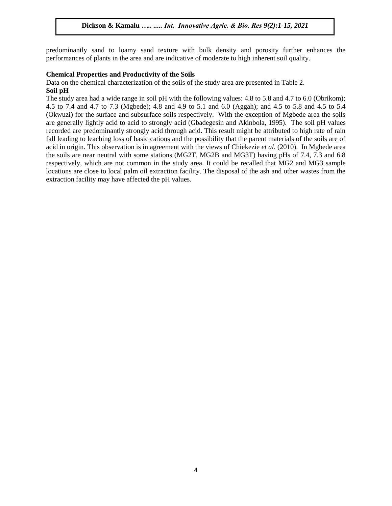predominantly sand to loamy sand texture with bulk density and porosity further enhances the performances of plants in the area and are indicative of moderate to high inherent soil quality.

#### **Chemical Properties and Productivity of the Soils**

Data on the chemical characterization of the soils of the study area are presented in Table 2.

#### **Soil pH**

The study area had a wide range in soil pH with the following values: 4.8 to 5.8 and 4.7 to 6.0 (Obrikom); 4.5 to 7.4 and 4.7 to 7.3 (Mgbede); 4.8 and 4.9 to 5.1 and 6.0 (Aggah); and 4.5 to 5.8 and 4.5 to 5.4 (Okwuzi) for the surface and subsurface soils respectively. With the exception of Mgbede area the soils are generally lightly acid to acid to strongly acid (Gbadegesin and Akinbola, 1995). The soil pH values recorded are predominantly strongly acid through acid. This result might be attributed to high rate of rain fall leading to leaching loss of basic cations and the possibility that the parent materials of the soils are of acid in origin. This observation is in agreement with the views of Chiekezie *et al.* (2010). In Mgbede area the soils are near neutral with some stations (MG2T, MG2B and MG3T) having pHs of 7.4, 7.3 and 6.8 respectively, which are not common in the study area. It could be recalled that MG2 and MG3 sample locations are close to local palm oil extraction facility. The disposal of the ash and other wastes from the extraction facility may have affected the pH values.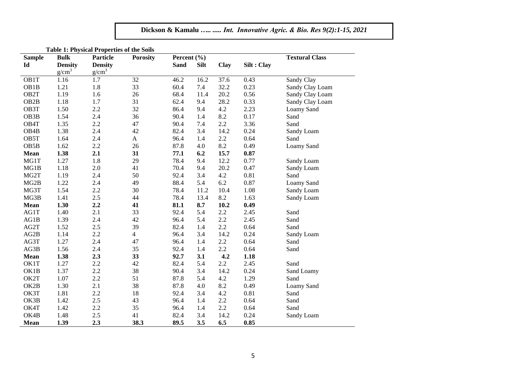| <b>Sample</b>     | <b>Bulk</b>       | Particle       | <b>Table 1: Physical Properties of the Solis</b><br><b>Porosity</b> | Percent (%) |             |             |             | <b>Textural Class</b> |  |
|-------------------|-------------------|----------------|---------------------------------------------------------------------|-------------|-------------|-------------|-------------|-----------------------|--|
| Id                | <b>Density</b>    | <b>Density</b> |                                                                     | <b>Sand</b> | <b>Silt</b> | <b>Clay</b> | Silt : Clay |                       |  |
|                   | g/cm <sup>3</sup> | $g/cm^3$       |                                                                     |             |             |             |             |                       |  |
| OB1T              | 1.16              | 1.7            | 32                                                                  | 46.2        | 16.2        | 37.6        | 0.43        | Sandy Clay            |  |
| OB1B              | 1.21              | 1.8            | 33                                                                  | 60.4        | 7.4         | 32.2        | 0.23        | Sandy Clay Loam       |  |
| OB2T              | 1.19              | 1.6            | 26                                                                  | 68.4        | 11.4        | 20.2        | 0.56        | Sandy Clay Loam       |  |
| OB <sub>2</sub> B | 1.18              | 1.7            | 31                                                                  | 62.4        | 9.4         | 28.2        | 0.33        | Sandy Clay Loam       |  |
| OB3T              | 1.50              | 2.2            | 32                                                                  | 86.4        | 9.4         | 4.2         | 2.23        | Loamy Sand            |  |
| OB <sub>3</sub> B | 1.54              | 2.4            | 36                                                                  | 90.4        | 1.4         | 8.2         | 0.17        | Sand                  |  |
| OB4T              | 1.35              | 2.2            | 47                                                                  | 90.4        | 7.4         | 2.2         | 3.36        | Sand                  |  |
| OB <sub>4</sub> B | 1.38              | 2.4            | 42                                                                  | 82.4        | 3.4         | 14.2        | 0.24        | Sandy Loam            |  |
| OB5T              | 1.64              | 2.4            | $\mathbf{A}$                                                        | 96.4        | 1.4         | $2.2\,$     | 0.64        | Sand                  |  |
| OB <sub>5</sub> B | 1.62              | 2.2            | 26                                                                  | 87.8        | 4.0         | 8.2         | 0.49        | Loamy Sand            |  |
| Mean              | 1.38              | 2.1            | 31                                                                  | 77.1        | 6.2         | 15.7        | 0.87        |                       |  |
| MG1T              | 1.27              | 1.8            | 29                                                                  | 78.4        | 9.4         | 12.2        | 0.77        | Sandy Loam            |  |
| MG1B              | 1.18              | 2.0            | 41                                                                  | 70.4        | 9.4         | 20.2        | 0.47        | Sandy Loam            |  |
| MG2T              | 1.19              | 2.4            | 50                                                                  | 92.4        | 3.4         | 4.2         | 0.81        | Sand                  |  |
| MG2B              | 1.22              | 2.4            | 49                                                                  | 88.4        | 5.4         | 6.2         | 0.87        | Loamy Sand            |  |
| MG3T              | 1.54              | 2.2            | 30                                                                  | 78.4        | 11.2        | 10.4        | 1.08        | Sandy Loam            |  |
| MG3B              | 1.41              | 2.5            | 44                                                                  | 78.4        | 13.4        | 8.2         | 1.63        | Sandy Loam            |  |
| <b>Mean</b>       | 1.30              | 2.2            | 41                                                                  | 81.1        | 8.7         | 10.2        | 0.49        |                       |  |
| AG1T              | 1.40              | 2.1            | 33                                                                  | 92.4        | 5.4         | 2.2         | 2.45        | Sand                  |  |
| AG1B              | 1.39              | 2.4            | 42                                                                  | 96.4        | 5.4         | 2.2         | 2.45        | Sand                  |  |
| AG2T              | 1.52              | 2.5            | 39                                                                  | 82.4        | 1.4         | 2.2         | 0.64        | Sand                  |  |
| AG2B              | 1.14              | 2.2            | $\overline{4}$                                                      | 96.4        | 3.4         | 14.2        | 0.24        | Sandy Loam            |  |
| AG3T              | 1.27              | 2.4            | 47                                                                  | 96.4        | 1.4         | 2.2         | 0.64        | Sand                  |  |
| AG3B              | 1.56              | 2.4            | 35                                                                  | 92.4        | 1.4         | 2.2         | 0.64        | Sand                  |  |
| <b>Mean</b>       | 1.38              | 2.3            | 33                                                                  | 92.7        | 3.1         | 4.2         | 1.18        |                       |  |
| OK1T              | 1.27              | $2.2\,$        | 42                                                                  | 82.4        | 5.4         | 2.2         | 2.45        | Sand                  |  |
| OK1B              | 1.37              | 2.2            | 38                                                                  | 90.4        | 3.4         | 14.2        | 0.24        | Sand Loamy            |  |
| OK2T              | 1.07              | 2.2            | 51                                                                  | 87.8        | 5.4         | 4.2         | 1.29        | Sand                  |  |
| OK2B              | 1.30              | 2.1            | 38                                                                  | 87.8        | 4.0         | 8.2         | 0.49        | Loamy Sand            |  |
| OK3T              | 1.81              | 2.2            | 18                                                                  | 92.4        | 3.4         | 4.2         | 0.81        | Sand                  |  |
| OK3B              | 1.42              | 2.5            | 43                                                                  | 96.4        | 1.4         | 2.2         | 0.64        | Sand                  |  |
| OK4T              | 1.42              | 2.2            | 35                                                                  | 96.4        | 1.4         | 2.2         | 0.64        | Sand                  |  |
| OK4B              | 1.48              | 2.5            | 41                                                                  | 82.4        | 3.4         | 14.2        | 0.24        | Sandy Loam            |  |
| Mean              | 1.39              | 2.3            | 38.3                                                                | 89.5        | 3.5         | 6.5         | 0.85        |                       |  |

**Table 1: Physical Properties of the Soils**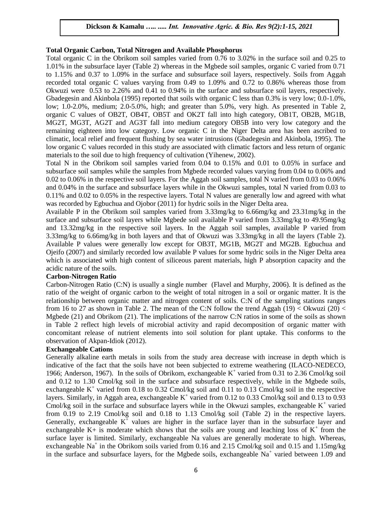#### **Total Organic Carbon, Total Nitrogen and Available Phosphorus**

Total organic C in the Obrikom soil samples varied from 0.76 to 3.02% in the surface soil and 0.25 to 1.01% in the subsurface layer (Table 2) whereas in the Mgbede soil samples, organic C varied from 0.71 to 1.15% and 0.37 to 1.09% in the surface and subsurface soil layers, respectively. Soils from Aggah recorded total organic C values varying from 0.49 to 1.09% and 0.72 to 0.86% whereas those from Okwuzi were 0.53 to 2.26% and 0.41 to 0.94% in the surface and subsurface soil layers, respectively. Gbadegesin and Akinbola (1995) reported that soils with organic C less than 0.3% is very low; 0.0-1.0%, low; 1.0-2.0%, medium; 2.0-5.0%, high; and greater than 5.0%, very high. As presented in Table 2, organic C values of OB2T, OB4T, OB5T and OK2T fall into high category, OB1T, OB2B, MG1B, MG2T, MG3T, AG2T and AG3T fall into medium category OB5B into very low category and the remaining eighteen into low category. Low organic C in the Niger Delta area has been ascribed to climatic, local relief and frequent flushing by sea water intrusions (Gbadegesin and Akinbola, 1995). The low organic C values recorded in this study are associated with climatic factors and less return of organic materials to the soil due to high frequency of cultivation (Yihenew, 2002).

Total N in the Obrikom soil samples varied from 0.04 to 0.15% and 0.01 to 0.05% in surface and subsurface soil samples while the samples from Mgbede recorded values varying from 0.04 to 0.06% and 0.02 to 0.06% in the respective soil layers. For the Aggah soil samples, total N varied from 0.03 to 0.06% and 0.04% in the surface and subsurface layers while in the Okwuzi samples, total N varied from 0.03 to 0.11% and 0.02 to 0.05% in the respective layers. Total N values are generally low and agreed with what was recorded by Egbuchua and Ojobor (2011) for hydric soils in the Niger Delta area.

Available P in the Obrikom soil samples varied from 3.33mg/kg to 6.66mg/kg and 23.31mg/kg in the surface and subsurface soil layers while Mgbede soil available P varied from 3.33mg/kg to 49.95mg/kg and 13.32mg/kg in the respective soil layers. In the Aggah soil samples, available P varied from 3.33mg/kg to 6.66mg/kg in both layers and that of Okwuzi was 3.33mg/kg in all the layers (Table 2). Available P values were generally low except for OB3T, MG1B, MG2T and MG2B. Egbuchua and Ojeifo (2007) and similarly recorded low available P values for some hydric soils in the Niger Delta area which is associated with high content of siliceous parent materials, high P absorption capacity and the acidic nature of the soils.

#### **Carbon-Nitrogen Ratio**

Carbon-Nitrogen Ratio (C:N) is usually a single number (Flavel and Murphy, 2006). It is defined as the ratio of the weight of organic carbon to the weight of total nitrogen in a soil or organic matter. It is the relationship between organic matter and nitrogen content of soils. C:N of the sampling stations ranges from 16 to 27 as shown in Table 2. The mean of the C:N follow the trend Aggah (19) < Okwuzi (20) < Mgbede (21) and Obrikom (21). The implications of the narrow C:N ratios in some of the soils as shown in Table 2 reflect high levels of microbial activity and rapid decomposition of organic matter with concomitant release of nutrient elements into soil solution for plant uptake. This conforms to the observation of Akpan-Idiok (2012).

#### **Exchangeable Cations**

Generally alkaline earth metals in soils from the study area decrease with increase in depth which is indicative of the fact that the soils have not been subjected to extreme weathering (ILACO-NEDECO, 1966; Anderson, 1967). In the soils of Obrikom, exchangeable  $K^+$  varied from 0.31 to 2.36 Cmol/kg soil and 0.12 to 1.30 Cmol/kg soil in the surface and subsurface respectively, while in the Mgbede soils, exchangeable  $K^+$  varied from 0.18 to 0.32 Cmol/kg soil and 0.11 to 0.13 Cmol/kg soil in the respective layers. Similarly, in Aggah area, exchangeable  $K^+$  varied from 0.12 to 0.33 Cmol/kg soil and 0.13 to 0.93 Cmol/kg soil in the surface and subsurface layers while in the Okwuzi samples, exchangeable  $K^+$  varied from 0.19 to 2.19 Cmol/kg soil and 0.18 to 1.13 Cmol/kg soil (Table 2) in the respective layers. Generally, exchangeable  $K^+$  values are higher in the surface layer than in the subsurface layer and exchangeable  $K$ + is moderate which shows that the soils are young and leaching loss of  $K^+$  from the surface layer is limited. Similarly, exchangeable Na values are generally moderate to high. Whereas, exchangeable Na<sup>+</sup> in the Obrikom soils varied from 0.16 and 2.15 Cmol/kg soil and 0.15 and 1.15mg/kg in the surface and subsurface layers, for the Mgbede soils, exchangeable  $Na<sup>+</sup>$  varied between 1.09 and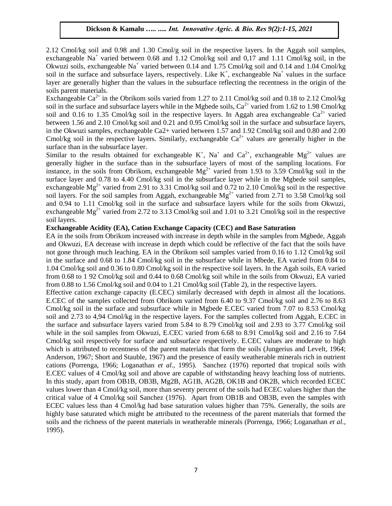2.12 Cmol/kg soil and 0.98 and 1.30 Cmol/g soil in the respective layers. In the Aggah soil samples, exchangeable Na<sup>+</sup> varied between 0.68 and 1.12 Cmol/kg soil and 0,17 and 1.11 Cmol/kg soil, in the Okwuzi soils, exchangeable Na<sup>+</sup> varied between 0.14 and 1.75 Cmol/kg soil and 0.14 and 1.04 Cmol/kg soil in the surface and subsurface layers, respectively. Like  $K^+$ , exchangeable Na<sup>+</sup> values in the surface layer are generally higher than the values in the subsurface reflecting the recentness in the origin of the soils parent materials.

Exchangeable  $Ca^{2+}$  in the Obrikom soils varied from 1.27 to 2.11 Cmol/kg soil and 0.18 to 2.12 Cmol/kg soil in the surface and subsurface layers while in the Mgbede soils,  $Ca^{2+}$  varied from 1.62 to 1.98 Cmol/kg soil and 0.16 to 1.35 Cmol/kg soil in the respective layers. In Aggah area exchangeable  $Ca^{2+}$  varied between 1.56 and 2.10 Cmol/kg soil and 0.21 and 0.95 Cmol/kg soil in the surface and subsurface layers, in the Okwuzi samples, exchangeable Ca2+ varied between 1.57 and 1.92 Cmol/kg soil and 0.80 and 2.00 Cmol/kg soil in the respective layers. Similarly, exchangeable  $Ca^{2+}$  values are generally higher in the surface than in the subsurface layer.

Similar to the results obtained for exchangeable  $K^+$ ,  $Na^+$  and  $Ca^{2+}$ , exchangeable  $Mg^{2+}$  values are generally higher in the surface than in the subsurface layers of most of the sampling locations. For instance, in the soils from Obrikom, exchangeable  $Mg^{2+}$  varied from 1.93 to 3.59 Cmol/kg soil in the surface layer and 0.78 to 4.40 Cmol/kg soil in the subsurface layer while in the Mgbede soil samples, exchangeable  $Mg^{2+}$  varied from 2.91 to 3.31 Cmol/kg soil and 0.72 to 2.10 Cmol/kg soil in the respective soil layers. For the soil samples from Aggah, exchangeable  $Mg^{2+}$  varied from 2.71 to 3.58 Cmol/kg soil and 0.94 to 1.11 Cmol/kg soil in the surface and subsurface layers while for the soils from Okwuzi, exchangeable  $Mg^{2+}$  varied from 2.72 to 3.13 Cmol/kg soil and 1.01 to 3.21 Cmol/kg soil in the respective soil layers.

#### **Exchangeable Acidity (EA), Cation Exchange Capacity (CEC) and Base Saturation**

EA in the soils from Obrikom increased with increase in depth while in the samples from Mgbede, Aggah and Okwuzi, EA decrease with increase in depth which could be reflective of the fact that the soils have not gone through much leaching. EA in the Obrikom soil samples varied from 0.16 to 1.12 Cmol/kg soil in the surface and 0.68 to 1.84 Cmol/kg soil in the subsurface while in Mbede, EA varied from 0.84 to 1.04 Cmol/kg soil and 0.36 to 0.80 Cmol/kg soil in the respective soil layers. In the Agah soils, EA varied from 0.68 to 1 92 Cmol/kg soil and 0.44 to 0.68 Cmol/kg soil while in the soils from Okwuzi, EA varied from 0.88 to 1.56 Cmol/kg soil and 0.04 to 1.21 Cmol/kg soil (Table 2), in the respective layers.

Effective cation exchange capacity (E.CEC) similarly decreased with depth in almost all the locations. E.CEC of the samples collected from Obrikom varied from 6.40 to 9.37 Cmol/kg soil and 2.76 to 8.63 Cmol/kg soil in the surface and subsurface while in Mgbede E.CEC varied from 7.07 to 8.53 Cmol/kg soil and 2.73 to 4,94 Cmol/kg in the respective layers. For the samples collected from Aggah, E.CEC in the surface and subsurface layers varied from 5.84 to 8.79 Cmol/kg soil and 2.93 to 3.77 Cmol/kg soil while in the soil samples from Okwuzi, E.CEC varied from 6.68 to 8.91 Cmol/kg soil and 2.16 to 7.64 Cmol/kg soil respectively for surface and subsurface respectively. E.CEC values are moderate to high which is attributed to recentness of the parent materials that form the soils (Jungerius and Levelt, 1964; Anderson, 1967; Short and Stauble, 1967) and the presence of easily weatherable minerals rich in nutrient cations (Porrenga, 1966; Loganathan *et al.,* 1995). Sanchez (1976) reported that tropical soils with E.CEC values of 4 Cmol/kg soil and above are capable of withstanding heavy leaching loss of nutrients. In this study, apart from OB1B, OB3B, Mg2B, AG1B, AG2B, OK1B and OK2B, which recorded ECEC values lower than 4 Cmol/kg soil, more than seventy percent of the soils had ECEC values higher than the critical value of 4 Cmol/kg soil Sanchez (1976). Apart from OB1B and OB3B, even the samples with ECEC values less than 4 Cmol/kg had base saturation values higher than 75%. Generally, the soils are highly base saturated which might be attributed to the recentness of the parent materials that formed the soils and the richness of the parent materials in weatherable minerals (Porrenga, 1966; Loganathan *et al.,* 1995).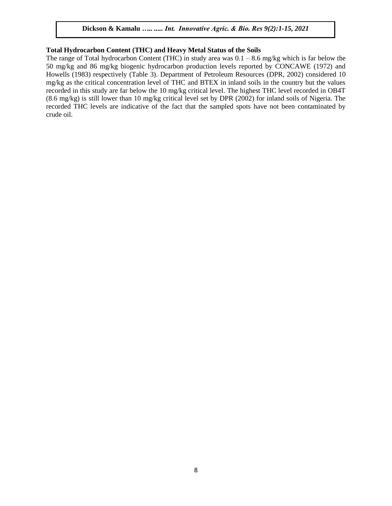#### **Total Hydrocarbon Content (THC) and Heavy Metal Status of the Soils**

The range of Total hydrocarbon Content (THC) in study area was  $0.1 - 8.6$  mg/kg which is far below the 50 mg/kg and 86 mg/kg biogenic hydrocarbon production levels reported by CONCAWE (1972) and Howells (1983) respectively (Table 3). Department of Petroleum Resources (DPR, 2002) considered 10 mg/kg as the critical concentration level of THC and BTEX in inland soils in the country but the values recorded in this study are far below the 10 mg/kg critical level. The highest THC level recorded in OB4T (8.6 mg/kg) is still lower than 10 mg/kg critical level set by DPR (2002) for inland soils of Nigeria. The recorded THC levels are indicative of the fact that the sampled spots have not been contaminated by crude oil.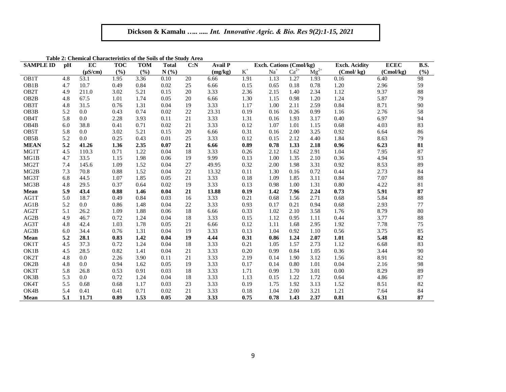| <b>SAMPLE ID</b>  | pH  | EC           | <b>TOC</b> | <b>TOM</b> | <b>Total</b> | C: N | <b>Avail P</b> |                | Exch. Cations (Cmol/kg) |           | <b>Exch. Acidity</b> | <b>ECEC</b> | <b>B.S.</b> |     |
|-------------------|-----|--------------|------------|------------|--------------|------|----------------|----------------|-------------------------|-----------|----------------------|-------------|-------------|-----|
|                   |     | $(\mu S/cm)$ | (°/0)      | (%)        | N(%)         |      | (mg/kg)        | $\mathbf{K}^+$ | $Na+$                   | $Ca^{2+}$ | $\text{Mg}^{2+}$     | (Cmol/kg)   | (Cmol/kg)   | (%) |
| OB1T              | 4.8 | 53.1         | 1.95       | 3.36       | 0.10         | 20   | 6.66           | 1.91           | 1.13                    | 1.27      | 1.93                 | 0.16        | 6.40        | 98  |
| OB1B              | 4.7 | 10.7         | 0.49       | 0.84       | 0.02         | 25   | 6.66           | 0.15           | 0.65                    | 0.18      | 0.78                 | 1.20        | 2.96        | 59  |
| OB <sub>2</sub> T | 4.9 | 211.0        | 3.02       | 5.21       | 0.15         | 20   | 3.33           | 2.36           | 2.15                    | 1.40      | 2.34                 | 1.12        | 9.37        | 88  |
| OB <sub>2</sub> B | 4.8 | 67.5         | 1.01       | 1.74       | 0.05         | 20   | 6.66           | 1.30           | 1.15                    | 0.98      | 1.20                 | 1.24        | 5.87        | 79  |
| OB3T              | 4.8 | 31.5         | 0.76       | 1.31       | 0.04         | 19   | 3.33           | 1.17           | 1.00                    | 2.11      | 2.59                 | 0.84        | 8.71        | 90  |
| OB <sub>3</sub> B | 5.2 | 0.0          | 0.43       | 0.74       | 0.02         | 22   | 23.31          | 0.19           | 0.16                    | 0.26      | 0.99                 | 1.16        | 2.76        | 58  |
| OB <sub>4</sub> T | 5.8 | 0.0          | 2.28       | 3.93       | 0.11         | 21   | 3.33           | 1.31           | 0.16                    | 1.93      | 3.17                 | 0.40        | 6.97        | 94  |
| OB <sub>4</sub> B | 6.0 | 38.8         | 0.41       | 0.71       | 0.02         | 21   | 3.33           | 0.12           | 1.07                    | 1.01      | 1.15                 | 0.68        | 4.03        | 83  |
| OB5T              | 5.8 | 0.0          | 3.02       | 5.21       | 0.15         | 20   | 6.66           | 0.31           | 0.16                    | 2.00      | 3.25                 | 0.92        | 6.64        | 86  |
| OB <sub>5</sub> B | 5.2 | 0.0          | 0.25       | 0.43       | 0.01         | 25   | 3.33           | 0.12           | 0.15                    | 2.12      | 4.40                 | 1.84        | 8.63        | 79  |
| <b>MEAN</b>       | 5.2 | 41.26        | 1.36       | 2.35       | 0.07         | 21   | 6.66           | 0.89           | 0.78                    | 1.33      | 2.18                 | 0.96        | 6.23        | 81  |
| MG1T              | 4.5 | 110.3        | 0.71       | 1.22       | 0.04         | 18   | 3.33           | 0.26           | 2.12                    | 1.62      | 2.91                 | 1.04        | 7.95        | 87  |
| MG1B              | 4.7 | 33.5         | 1.15       | 1.98       | 0.06         | 19   | 9.99           | 0.13           | 1.00                    | 1.35      | 2.10                 | 0.36        | 4.94        | 93  |
| MG2T              | 7.4 | 145.6        | 1.09       | 1.52       | 0.04         | 27   | 49.95          | 0.32           | 2.00                    | 1.98      | 3.31                 | 0.92        | 8.53        | 89  |
| MG2B              | 7.3 | 70.8         | 0.88       | 1.52       | 0.04         | 22   | 13.32          | 0.11           | 1.30                    | 0.16      | 0.72                 | 0.44        | 2.73        | 84  |
| MG3T              | 6.8 | 44.5         | 1.07       | 1.85       | 0.05         | 21   | 3.33           | 0.18           | 1.09                    | 1.85      | 3.11                 | 0.84        | 7.07        | 88  |
| MG3B              | 4.8 | 29.5         | 0.37       | 0.64       | 0.02         | 19   | 3.33           | 0.13           | 0.98                    | 1.00      | 1.31                 | 0.80        | 4.22        | 81  |
| Mean              | 5.9 | 43.4         | 0.88       | 1.46       | 0.04         | 21   | 13.88          | 0.19           | 1.42                    | 7.96      | 2.24                 | 0.73        | 5.91        | 87  |
| AG1T              | 5.0 | 18.7         | 0.49       | 0.84       | 0.03         | 16   | 3.33           | 0.21           | 0.68                    | 1.56      | 2.71                 | 0.68        | 5.84        | 88  |
| AG1B              | 5.2 | 0.0          | 0.86       | 1.48       | 0.04         | 22   | 3.33           | 0.93           | 0.17                    | 0.21      | 0.94                 | 0.68        | 2.93        | 77  |
| AG2T              | 5.1 | 26.2         | 1.09       | 1.88       | 0.06         | 18   | 6.66           | 0.33           | 1.02                    | 2.10      | 3.58                 | 1.76        | 8.79        | 80  |
| AG2B              | 4.9 | 46.7         | 0.72       | 1.24       | 0.04         | 18   | 3.33           | 0.15           | 1.12                    | 0.95      | 1.11                 | 0.44        | 3.77        | 88  |
| AG3T              | 4.8 | 42.4         | 1.03       | 1.78       | 0.05         | 21   | 6.66           | 0.12           | 1.11                    | 1.68      | 2.95                 | 1.92        | 7.78        | 75  |
| AG3B              | 6.0 | 34.4         | 0.76       | 1.31       | 0.04         | 19   | 3.33           | 0.13           | 1.04                    | 0.92      | 1.10                 | 0.56        | 3.75        | 85  |
| Mean              | 5.2 | 28.1         | 0.83       | 1.42       | 0.04         | 19   | 4.44           | 0.31           | 0.86                    | 1.24      | 2.07                 | 1.01        | 5.48        | 82  |
| OK1T              | 4.5 | 37.3         | 0.72       | 1.24       | 0.04         | 18   | 3.33           | 0.21           | 1.05                    | 1.57      | 2.73                 | 1.12        | 6.68        | 83  |
| OK1B              | 4.5 | 28.5         | 0.82       | 1.41       | 0.04         | 21   | 3.33           | 0.20           | 0.99                    | 0.84      | 1.05                 | 0.36        | 3.44        | 90  |
| OK2T              | 4.8 | $0.0\,$      | 2.26       | 3.90       | 0.11         | 21   | 3.33           | 2.19           | 0.14                    | 1.90      | 3.12                 | 1.56        | 8.91        | 82  |
| OK2B              | 4.8 | 0.0          | 0.94       | 1.62       | 0.05         | 19   | 3.33           | 0.17           | 0.14                    | 0.80      | 1.01                 | 0.04        | 2.16        | 98  |
| OK3T              | 5.8 | 26.8         | 0.53       | 0.91       | 0.03         | 18   | 3.33           | 1.71           | 0.99                    | 1.70      | 3.01                 | 0.00        | 8.29        | 89  |
| OK3B              | 5.3 | 0.0          | 0.72       | 1.24       | 0.04         | 18   | 3.33           | 1.13           | 0.15                    | 1.22      | 1.72                 | 0.64        | 4.86        | 87  |
| OK4T              | 5.5 | 0.68         | 0.68       | 1.17       | 0.03         | 23   | 3.33           | 0.19           | 1.75                    | 1.92      | 3.13                 | 1.52        | 8.51        | 82  |
| OK4B              | 5.4 | 0.41         | 0.41       | 0.71       | 0.02         | 21   | 3.33           | 0.18           | 1.04                    | 2.00      | 3.21                 | 1.21        | 7.64        | 84  |
| Mean              | 5.1 | 11.71        | 0.89       | 1.53       | 0.05         | 20   | 3.33           | 0.75           | 0.78                    | 1.43      | 2.37                 | 0.81        | 6.31        | 87  |

**Table 2: Chemical Characteristics of the Soils of the Study Area**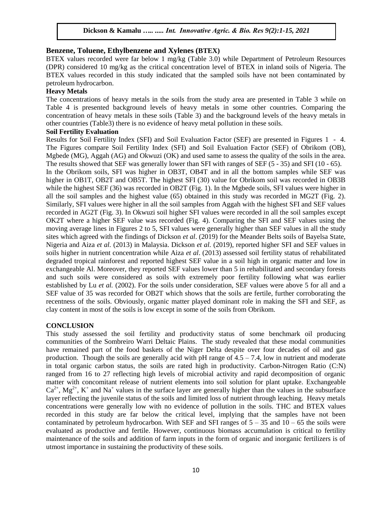### **Benzene, Toluene, Ethylbenzene and Xylenes (BTEX)**

BTEX values recorded were far below 1 mg/kg (Table 3.0) while Department of Petroleum Resources (DPR) considered 10 mg/kg as the critical concentration level of BTEX in inland soils of Nigeria. The BTEX values recorded in this study indicated that the sampled soils have not been contaminated by petroleum hydrocarbon.

#### **Heavy Metals**

The concentrations of heavy metals in the soils from the study area are presented in Table 3 while on Table 4 is presented background levels of heavy metals in some other countries. Comparing the concentration of heavy metals in these soils (Table 3) and the background levels of the heavy metals in other countries (Table3) there is no evidence of heavy metal pollution in these soils.

#### **Soil Fertility Evaluation**

Results for Soil Fertility Index (SFI) and Soil Evaluation Factor (SEF) are presented in Figures 1 - 4. The Figures compare Soil Fertility Index (SFI) and Soil Evaluation Factor (SEF) of Obrikom (OB), Mgbede (MG), Aggah (AG) and Okwuzi (OK) and used same to assess the quality of the soils in the area. The results showed that SEF was generally lower than SFI with ranges of SEF (5 - 35) and SFI (10 - 65).

In the Obrikom soils, SFI was higher in OB3T, OB4T and in all the bottom samples while SEF was higher in OB1T, OB2T and OB5T. The highest SFI (30) value for Obrikom soil was recorded in OB3B while the highest SEF (36) was recorded in OB2T (Fig. 1). In the Mgbede soils, SFI values were higher in all the soil samples and the highest value (65) obtained in this study was recorded in MG2T (Fig. 2). Similarly, SFI values were higher in all the soil samples from Aggah with the highest SFI and SEF values recorded in AG2T (Fig. 3). In Okwuzi soil higher SFI values were recorded in all the soil samples except OK2T where a higher SEF value was recorded (Fig. 4). Comparing the SFI and SEF values using the moving average lines in Figures 2 to 5, SFI values were generally higher than SEF values in all the study sites which agreed with the findings of Dickson *et al*. (2019) for the Meander Belts soils of Bayelsa State, Nigeria and Aiza *et al.* (2013) in Malaysia. Dickson *et al.* (2019), reported higher SFI and SEF values in soils higher in nutrient concentration while Aiza *et al*. (2013) assessed soil fertility status of rehabilitated degraded tropical rainforest and reported highest SEF value in a soil high in organic matter and low in exchangeable Al. Moreover, they reported SEF values lower than 5 in rehabilitated and secondary forests and such soils were considered as soils with extremely poor fertility following what was earlier established by Lu *et al.* (2002). For the soils under consideration, SEF values were above 5 for all and a SEF value of 35 was recorded for OB2T which shows that the soils are fertile, further corroborating the recentness of the soils. Obviously, organic matter played dominant role in making the SFI and SEF, as clay content in most of the soils is low except in some of the soils from Obrikom.

#### **CONCLUSION**

This study assessed the soil fertility and productivity status of some benchmark oil producing communities of the Sombreiro Warri Deltaic Plains. The study revealed that these modal communities have remained part of the food baskets of the Niger Delta despite over four decades of oil and gas production. Though the soils are generally acid with pH range of  $4.5 - 7.4$ , low in nutrient and moderate in total organic carbon status, the soils are rated high in productivity. Carbon-Nitrogen Ratio (C:N) ranged from 16 to 27 reflecting high levels of microbial activity and rapid decomposition of organic matter with concomitant release of nutrient elements into soil solution for plant uptake. Exchangeable  $Ca^{2+}$ ,  $Mg^{2+}$ , K<sup>+</sup> and Na<sup>+</sup> values in the surface layer are generally higher than the values in the subsurface layer reflecting the juvenile status of the soils and limited loss of nutrient through leaching. Heavy metals concentrations were generally low with no evidence of pollution in the soils. THC and BTEX values recorded in this study are far below the critical level, implying that the samples have not been contaminated by petroleum hydrocarbon. With SEF and SFI ranges of  $5 - 35$  and  $10 - 65$  the soils were evaluated as productive and fertile. However, continuous biomass accumulation is critical to fertility maintenance of the soils and addition of farm inputs in the form of organic and inorganic fertilizers is of utmost importance in sustaining the productivity of these soils.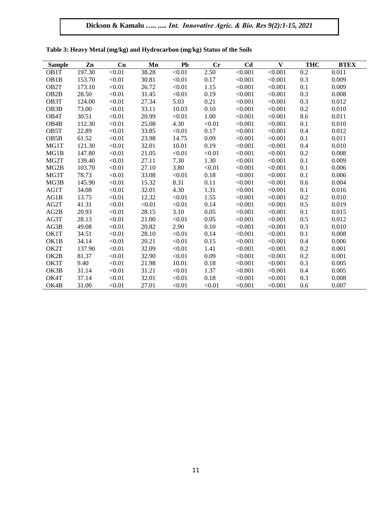| <b>Sample</b>     | Zn     | Cu     | Mn     | Pb     | Cr     | C <sub>d</sub> | $\mathbf{V}$ | <b>THC</b> | <b>BTEX</b> |
|-------------------|--------|--------|--------|--------|--------|----------------|--------------|------------|-------------|
| OB <sub>1</sub> T | 197.30 | < 0.01 | 38.28  | < 0.01 | 2.50   | < 0.001        | < 0.001      | 0.2        | 0.011       |
| OB <sub>1</sub> B | 153.70 | < 0.01 | 30.81  | < 0.01 | 0.17   | < 0.001        | < 0.001      | 0.3        | 0.009       |
| OB <sub>2</sub> T | 173.10 | < 0.01 | 26.72  | < 0.01 | 1.15   | < 0.001        | < 0.001      | 0.1        | 0.009       |
| OB <sub>2</sub> B | 28.50  | < 0.01 | 31.45  | < 0.01 | 0.19   | < 0.001        | < 0.001      | 0.3        | 0.008       |
| OB <sub>3</sub> T | 124.00 | < 0.01 | 27.34  | 5.03   | 0.21   | < 0.001        | < 0.001      | 0.3        | 0.012       |
| OB <sub>3</sub> B | 73.00  | < 0.01 | 33.11  | 10.03  | 0.10   | < 0.001        | < 0.001      | 0.2        | 0.010       |
| OB <sub>4</sub> T | 30.51  | < 0.01 | 20.99  | < 0.01 | 1.00   | < 0.001        | < 0.001      | 8.6        | 0.011       |
| OB <sub>4</sub> B | 112.30 | < 0.01 | 25.08  | 4.30   | < 0.01 | < 0.001        | < 0.001      | 0.1        | 0.010       |
| OB5T              | 22.89  | < 0.01 | 33.85  | < 0.01 | 0.17   | < 0.001        | < 0.001      | 0.4        | 0.012       |
| OB <sub>5</sub> B | 61.52  | < 0.01 | 23.98  | 14.75  | 0.09   | < 0.001        | < 0.001      | 0.1        | 0.011       |
| MG1T              | 121.30 | < 0.01 | 32.01  | 10.01  | 0.19   | < 0.001        | < 0.001      | 0.4        | 0.010       |
| MG1B              | 147.80 | < 0.01 | 21.05  | < 0.01 | < 0.01 | < 0.001        | < 0.001      | 0.2        | 0.008       |
| MG <sub>2</sub> T | 139.40 | < 0.01 | 27.11  | 7.30   | 1.30   | < 0.001        | < 0.001      | 0.1        | 0.009       |
| MG <sub>2</sub> B | 103.70 | < 0.01 | 27.10  | 3.80   | < 0.01 | < 0.001        | < 0.001      | 0.1        | 0.006       |
| MG3T              | 78.73  | < 0.01 | 33.08  | < 0.01 | 0.18   | < 0.001        | < 0.001      | 0.1        | 0.006       |
| MG3B              | 145.90 | < 0.01 | 15.32  | 8.31   | 0.11   | < 0.001        | < 0.001      | 0.6        | 0.004       |
| AG1T              | 34.08  | < 0.01 | 32.01  | 4.30   | 1.31   | < 0.001        | < 0.001      | 0.1        | 0.016       |
| AG1B              | 13.75  | < 0.01 | 12.32  | < 0.01 | 1.55   | < 0.001        | < 0.001      | 0.2        | 0.010       |
| AG2T              | 41.31  | < 0.01 | < 0.01 | < 0.01 | 0.14   | < 0.001        | < 0.001      | 0.5        | 0.019       |
| AG2B              | 20.93  | < 0.01 | 28.15  | 3.10   | 0.05   | < 0.001        | < 0.001      | 0.1        | 0.015       |
| AG3T              | 28.13  | < 0.01 | 21.00  | < 0.01 | 0.05   | < 0.001        | < 0.001      | 0.5        | 0.012       |
| AG3B              | 49.08  | < 0.01 | 20.82  | 2.90   | 0.10   | < 0.001        | < 0.001      | 0.3        | 0.010       |
| OK1T              | 34.51  | < 0.01 | 28.10  | < 0.01 | 0.14   | < 0.001        | < 0.001      | 0.1        | 0.008       |
| OK1B              | 34.14  | < 0.01 | 20.21  | < 0.01 | 0.15   | < 0.001        | < 0.001      | 0.4        | 0.006       |
| OK2T              | 137.90 | < 0.01 | 32.09  | < 0.01 | 1.41   | < 0.001        | < 0.001      | 0.2        | 0.001       |
| OK2B              | 81.37  | < 0.01 | 32.90  | < 0.01 | 0.09   | < 0.001        | < 0.001      | 0.2        | 0.001       |
| OK3T              | 9.40   | < 0.01 | 21.98  | 10.01  | 0.18   | < 0.001        | < 0.001      | 0.3        | 0.005       |
| OK3B              | 31.14  | < 0.01 | 31.21  | < 0.01 | 1.37   | < 0.001        | < 0.001      | 0.4        | 0.005       |
| OK4T              | 37.14  | < 0.01 | 32.01  | < 0.01 | 0.18   | < 0.001        | < 0.001      | 0.3        | 0.008       |
| OK4B              | 31.00  | < 0.01 | 27.01  | < 0.01 | < 0.01 | < 0.001        | < 0.001      | 0.6        | 0.007       |

**Table 3: Heavy Metal (mg/kg) and Hydrocarbon (mg/kg) Status of the Soils**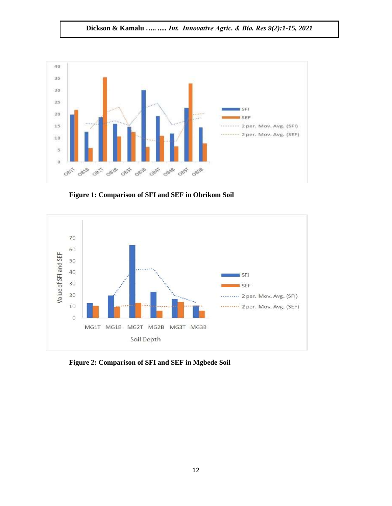

**Figure 1: Comparison of SFI and SEF in Obrikom Soil**



**Figure 2: Comparison of SFI and SEF in Mgbede Soil**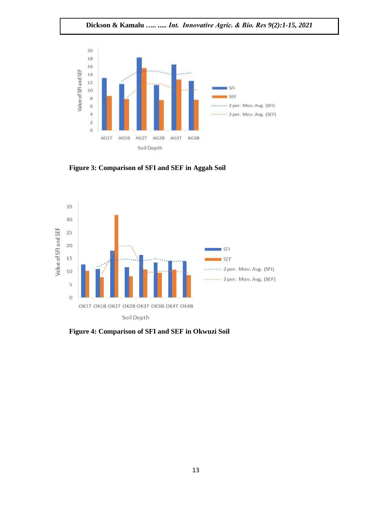**Dickson & Kamalu** *….. ..... Int. Innovative Agric. & Bio. Res 9(2):1-15, 2021*



**Figure 3: Comparison of SFI and SEF in Aggah Soil**



**Figure 4: Comparison of SFI and SEF in Okwuzi Soil**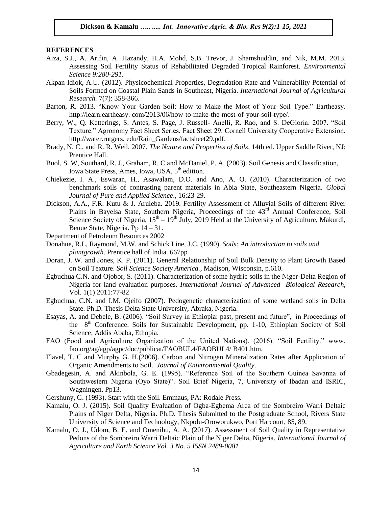#### **REFERENCES**

- Aiza, S.J., A. Arifin, A. Hazandy, H.A. Mohd, S.B. Trevor, J. Shamshuddin, and Nik, M.M. 2013. Assessing Soil Fertility Status of Rehabilitated Degraded Tropical Rainforest. *Environmental Science 9:280-291.*
- Akpan-Idiok, A.U. (2012). Physicochemical Properties, Degradation Rate and Vulnerability Potential of Soils Formed on Coastal Plain Sands in Southeast, Nigeria. *International Journal of Agricultural Research.* 7(7): 358-366.
- Barton, R. 2013. "Know Your Garden Soil: How to Make the Most of Your Soil Type." Eartheasy. http://learn.eartheasy. com/2013/06/how-to-make-the-most-of-your-soil-type/.
- Berry, W., Q. Ketterings, S. Antes, S. Page, J. Russell- Anelli, R. Rao, and S. DeGloria. 2007. "Soil Texture." Agronomy Fact Sheet Series, Fact Sheet 29. Cornell University Cooperative Extension. http://water.rutgers. edu/Rain\_Gardens/factsheet29.pdf.
- Brady, N. C., and R. R. Weil. 2007. *The Nature and Properties of Soils*. 14th ed. Upper Saddle River, NJ: Prentice Hall.
- Buol, S. W, Southard, R. J., Graham, R. C and McDaniel, P. A. (2003). Soil Genesis and Classification, Iowa State Press, Ames, Iowa, USA, 5<sup>th</sup> edition.
- Chiekezie, I. A., Eswaran, H., Asawalam, D.O. and Ano, A. O. (2010). Characterization of two benchmark soils of contrasting parent materials in Abia State, Southeastern Nigeria. *Global Journal of Pure and Applied Science*., 16:23-29.
- Dickson, A.A., F.R. Kutu & J. Aruleba. 2019. Fertility Assessment of Alluvial Soils of different River Plains in Bayelsa State, Southern Nigeria, Proceedings of the 43<sup>rd</sup> Annual Conference, Soil Science Society of Nigeria,  $15<sup>th</sup> - 19<sup>th</sup>$  July, 2019 Held at the University of Agriculture, Makurdi, Benue State, Nigeria. Pp 14 – 31.
- Department of Petroleum Resources 2002
- Donahue, R.L, Raymond, M.W. and Schick Line, J.C. (1990). *Soils: An introduction to soils and plantgrowth*. Prentice hall of India. 667pp
- Doran, J. W. and Jones, K. P. (2011). General Relationship of Soil Bulk Density to Plant Growth Based on Soil Texture. *Soil Science Society America.*, Madison, Wisconsin, p.610.
- Egbuchua C.N. and Ojobor, S. (2011). Characterization of some hydric soils in the Niger-Delta Region of Nigeria for land evaluation purposes. *International Journal of Advanced Biological Research*, Vol. 1(1) 2011:77-82
- Egbuchua, C.N. and I.M. Ojeifo (2007). Pedogenetic characterization of some wetland soils in Delta State. Ph.D. Thesis Delta State University, Abraka, Nigeria.
- Esayas, A. and Debele, B. (2006). "Soil Survey in Ethiopia: past, present and future", in Proceedings of the 8<sup>th</sup> Conference. Soils for Sustainable Development, pp. 1-10, Ethiopian Society of Soil Science, Addis Ababa, Ethopia.
- FAO (Food and Agriculture Organization of the United Nations). (2016). "Soil Fertility." www. fao.org/ag/agp/agpc/doc/publicat/FAOBUL4/FAOBUL4/ B401.htm.
- Flavel, T. C and Murphy G. H.(2006). Carbon and Nitrogen Mineralization Rates after Application of Organic Amendments to Soil. *Journal of Enivironmental Quality*.
- Gbadegesin, A. and Akinbola, G. E. (1995). "Reference Soil of the Southern Guinea Savanna of Southwestern Nigeria (Oyo State)". Soil Brief Nigeria, 7, University of Ibadan and ISRIC, Wagningen. Pp13.
- Gershuny, G. (1993). Start with the Soil. Emmaus, PA: Rodale Press.
- Kamalu, O. J. (2015). Soil Quality Evaluation of Ogba-Egbema Area of the Sombreiro Warri Deltaic Plains of Niger Delta, Nigeria. Ph.D. Thesis Submitted to the Postgraduate School, Rivers State University of Science and Technology, Nkpolu-Oroworukwo, Port Harcourt, 85, 89.
- Kamalu, O. J., Udom, B. E. and Omenihu, A. A. (2017). Assessment of Soil Quality in Representative Pedons of the Sombreiro Warri Deltaic Plain of the Niger Delta, Nigeria. *International Journal of Agriculture and Earth Science Vol. 3 No. 5 ISSN 2489-0081*